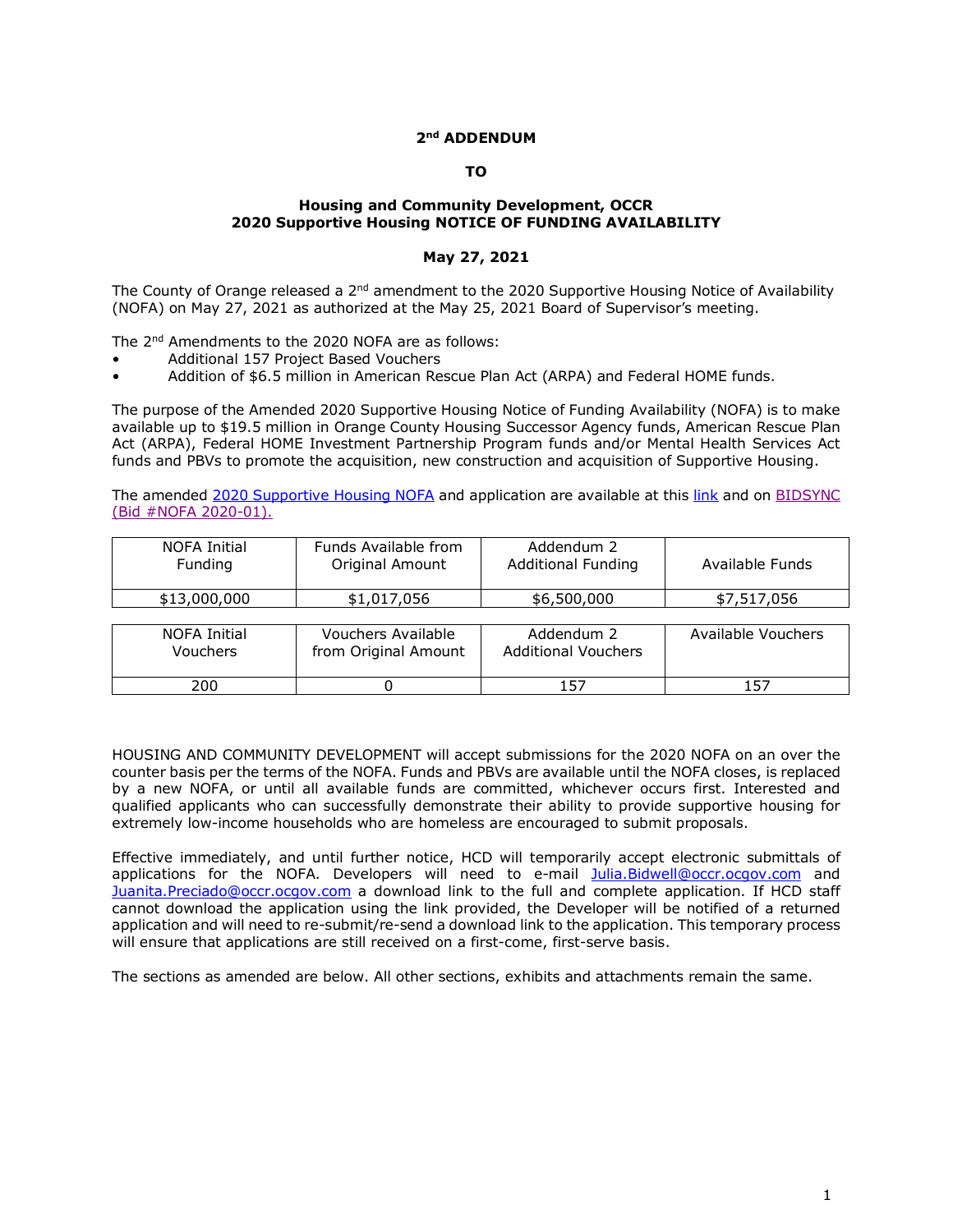# **2nd ADDENDUM**

### **TO**

### **Housing and Community Development, OCCR 2020 Supportive Housing NOTICE OF FUNDING AVAILABILITY**

### **May 27, 2021**

The County of Orange released a  $2^{nd}$  amendment to the 2020 Supportive Housing Notice of Availability (NOFA) on May 27, 2021 as authorized at the May 25, 2021 Board of Supervisor's meeting.

The 2<sup>nd</sup> Amendments to the 2020 NOFA are as follows:

- Additional 157 Project Based Vouchers
- Addition of \$6.5 million in American Rescue Plan Act (ARPA) and Federal HOME funds.

The purpose of the Amended 2020 Supportive Housing Notice of Funding Availability (NOFA) is to make available up to \$19.5 million in Orange County Housing Successor Agency funds, American Rescue Plan Act (ARPA), Federal HOME Investment Partnership Program funds and/or Mental Health Services Act funds and PBVs to promote the acquisition, new construction and acquisition of Supportive Housing.

The amended [2020 Supportive Housing NOFA](https://www.ochcd.org/housing-development/developer/notice-funding-availability) and application are available at this [link](https://www.ochcd.org/housing-development/developer/notice-funding-availability) and on BIDSYNC [\(Bid #NOFA 2020-01\).](https://www.bidsync.com/bidsync-app-web/vendor/links/BidDetail.xhtml?bidid=2052405&vendorview=Y) 

| NOFA Initial<br>Funding         | Funds Available from<br>Original Amount    | Addendum 2<br><b>Additional Funding</b>  | Available Funds    |
|---------------------------------|--------------------------------------------|------------------------------------------|--------------------|
| \$13,000,000                    | \$1,017,056                                | \$6,500,000                              | \$7,517,056        |
|                                 |                                            |                                          |                    |
| NOFA Initial<br><b>Vouchers</b> | Vouchers Available<br>from Original Amount | Addendum 2<br><b>Additional Vouchers</b> | Available Vouchers |
| 200                             |                                            | 157                                      | 157                |

HOUSING AND COMMUNITY DEVELOPMENT will accept submissions for the 2020 NOFA on an over the counter basis per the terms of the NOFA. Funds and PBVs are available until the NOFA closes, is replaced by a new NOFA, or until all available funds are committed, whichever occurs first. Interested and qualified applicants who can successfully demonstrate their ability to provide supportive housing for extremely low-income households who are homeless are encouraged to submit proposals.

Effective immediately, and until further notice, HCD will temporarily accept electronic submittals of applications for the NOFA. Developers will need to e-mail [Julia.Bidwell@occr.ocgov.com](mailto:Julia.Bidwell@occr.ocgov.com) and [Juanita.Preciado@occr.ocgov.com](mailto:Juanita.Preciado@occr.ocgov.com) a download link to the full and complete application. If HCD staff cannot download the application using the link provided, the Developer will be notified of a returned application and will need to re-submit/re-send a download link to the application. This temporary process will ensure that applications are still received on a first-come, first-serve basis.

The sections as amended are below. All other sections, exhibits and attachments remain the same.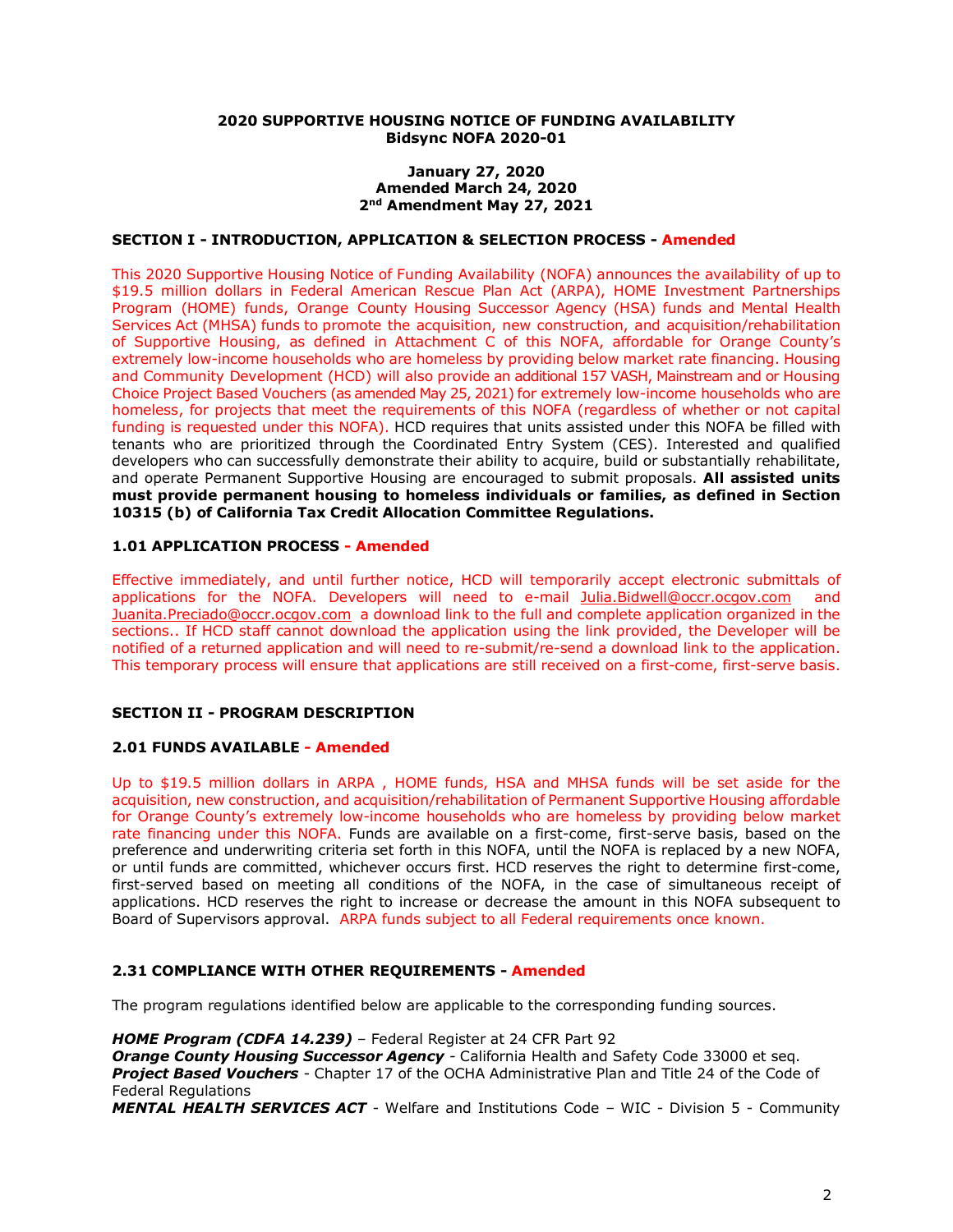#### **2020 SUPPORTIVE HOUSING NOTICE OF FUNDING AVAILABILITY Bidsync NOFA 2020-01**

#### **January 27, 2020 Amended March 24, 2020 2nd Amendment May 27, 2021**

## **SECTION I - INTRODUCTION, APPLICATION & SELECTION PROCESS - Amended**

This 2020 Supportive Housing Notice of Funding Availability (NOFA) announces the availability of up to \$19.5 million dollars in Federal American Rescue Plan Act (ARPA), HOME Investment Partnerships Program (HOME) funds, Orange County Housing Successor Agency (HSA) funds and Mental Health Services Act (MHSA) funds to promote the acquisition, new construction, and acquisition/rehabilitation of Supportive Housing, as defined in Attachment C of this NOFA, affordable for Orange County's extremely low-income households who are homeless by providing below market rate financing. Housing and Community Development (HCD) will also provide an additional 157 VASH, Mainstream and or Housing Choice Project Based Vouchers (as amended May 25, 2021) for extremely low-income households who are homeless, for projects that meet the requirements of this NOFA (regardless of whether or not capital funding is requested under this NOFA). HCD requires that units assisted under this NOFA be filled with tenants who are prioritized through the Coordinated Entry System (CES). Interested and qualified developers who can successfully demonstrate their ability to acquire, build or substantially rehabilitate, and operate Permanent Supportive Housing are encouraged to submit proposals. **All assisted units must provide permanent housing to homeless individuals or families, as defined in Section 10315 (b) of California Tax Credit Allocation Committee Regulations.**

## **1.01 APPLICATION PROCESS - Amended**

Effective immediately, and until further notice, HCD will temporarily accept electronic submittals of applications for the NOFA. Developers will need to e-mail [Julia.Bidwell@occr.ocgov.com](mailto:Julia.Bidwell@occr.ocgov.com) and [Juanita.Preciado@occr.ocgov.com](mailto:Juanita.Preciado@occr.ocgov.com) a download link to the full and complete application organized in the sections.. If HCD staff cannot download the application using the link provided, the Developer will be notified of a returned application and will need to re-submit/re-send a download link to the application. This temporary process will ensure that applications are still received on a first-come, first-serve basis.

# **SECTION II - PROGRAM DESCRIPTION**

# **2.01 FUNDS AVAILABLE - Amended**

Up to \$19.5 million dollars in ARPA , HOME funds, HSA and MHSA funds will be set aside for the acquisition, new construction, and acquisition/rehabilitation of Permanent Supportive Housing affordable for Orange County's extremely low-income households who are homeless by providing below market rate financing under this NOFA. Funds are available on a first-come, first-serve basis, based on the preference and underwriting criteria set forth in this NOFA, until the NOFA is replaced by a new NOFA, or until funds are committed, whichever occurs first. HCD reserves the right to determine first-come, first-served based on meeting all conditions of the NOFA, in the case of simultaneous receipt of applications. HCD reserves the right to increase or decrease the amount in this NOFA subsequent to Board of Supervisors approval. ARPA funds subject to all Federal requirements once known.

# **2.31 COMPLIANCE WITH OTHER REQUIREMENTS - Amended**

The program regulations identified below are applicable to the corresponding funding sources.

*HOME Program (CDFA 14.239)* – Federal Register at 24 CFR Part 92 *Orange County Housing Successor Agency -* California Health and Safety Code 33000 et seq. *Project Based Vouchers* - Chapter 17 of the OCHA Administrative Plan and Title 24 of the Code of Federal Regulations

*MENTAL HEALTH SERVICES ACT* - Welfare and Institutions Code – WIC - Division 5 - Community